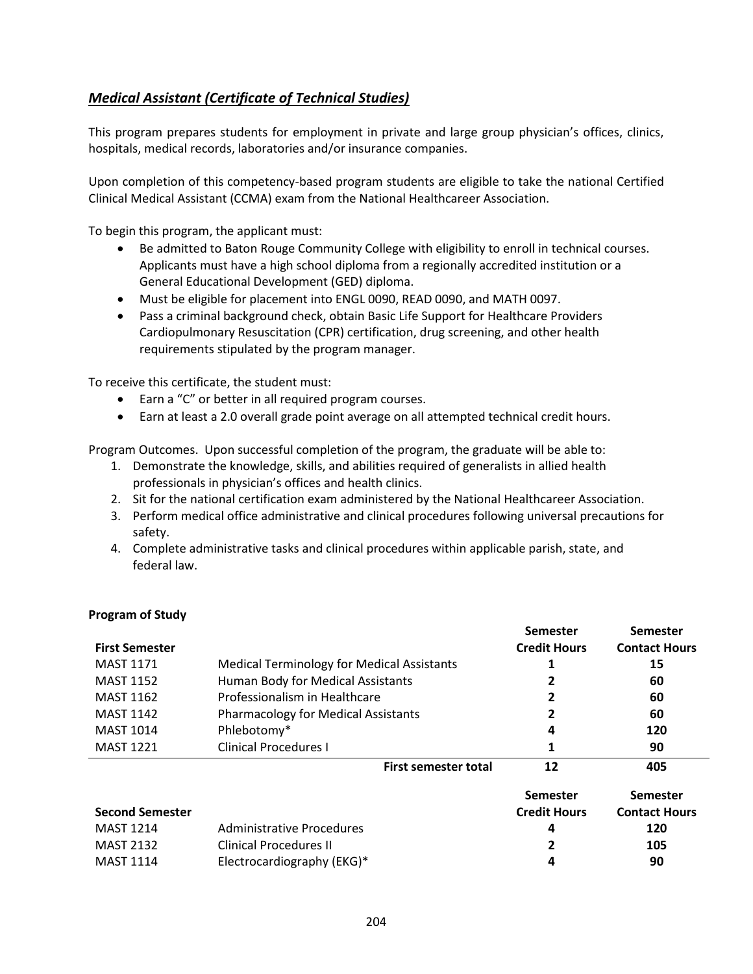## <span id="page-0-0"></span>*[Medical Assistant \(Certificate of Technical Studies\)](#page-0-0)*

This program prepares students for employment in private and large group physician's offices, clinics, hospitals, medical records, laboratories and/or insurance companies.

Upon completion of this competency-based program students are eligible to take the national Certified Clinical Medical Assistant (CCMA) exam from the National Healthcareer Association.

To begin this program, the applicant must:

- Be admitted to Baton Rouge Community College with eligibility to enroll in technical courses. Applicants must have a high school diploma from a regionally accredited institution or a General Educational Development (GED) diploma.
- Must be eligible for placement into ENGL 0090, READ 0090, and MATH 0097.
- Pass a criminal background check, obtain Basic Life Support for Healthcare Providers Cardiopulmonary Resuscitation (CPR) certification, drug screening, and other health requirements stipulated by the program manager.

To receive this certificate, the student must:

- Earn a "C" or better in all required program courses.
- Earn at least a 2.0 overall grade point average on all attempted technical credit hours.

Program Outcomes. Upon successful completion of the program, the graduate will be able to:

- 1. Demonstrate the knowledge, skills, and abilities required of generalists in allied health professionals in physician's offices and health clinics.
- 2. Sit for the national certification exam administered by the National Healthcareer Association.
- 3. Perform medical office administrative and clinical procedures following universal precautions for safety.
- 4. Complete administrative tasks and clinical procedures within applicable parish, state, and federal law.

|                        |                                                   |                             | <b>Semester</b>     | Semester             |
|------------------------|---------------------------------------------------|-----------------------------|---------------------|----------------------|
| <b>First Semester</b>  |                                                   |                             | <b>Credit Hours</b> | <b>Contact Hours</b> |
| <b>MAST 1171</b>       | <b>Medical Terminology for Medical Assistants</b> |                             |                     | 15                   |
| <b>MAST 1152</b>       | Human Body for Medical Assistants                 |                             |                     | 60                   |
| <b>MAST 1162</b>       | Professionalism in Healthcare                     |                             |                     | 60                   |
| <b>MAST 1142</b>       | <b>Pharmacology for Medical Assistants</b>        |                             |                     | 60                   |
| <b>MAST 1014</b>       | Phlebotomy*                                       |                             |                     | 120                  |
| <b>MAST 1221</b>       | <b>Clinical Procedures I</b>                      |                             |                     | 90                   |
|                        |                                                   | <b>First semester total</b> | 12                  | 405                  |
|                        |                                                   |                             | <b>Semester</b>     | Semester             |
| <b>Second Semester</b> |                                                   |                             | <b>Credit Hours</b> | <b>Contact Hours</b> |
| <b>MAST 1214</b>       | Administrative Procedures                         |                             | 4                   | 120                  |
| <b>MAST 2132</b>       | <b>Clinical Procedures II</b>                     |                             |                     | 105                  |
| <b>MAST 1114</b>       | Electrocardiography (EKG)*                        |                             |                     | 90                   |

## **Program of Study**